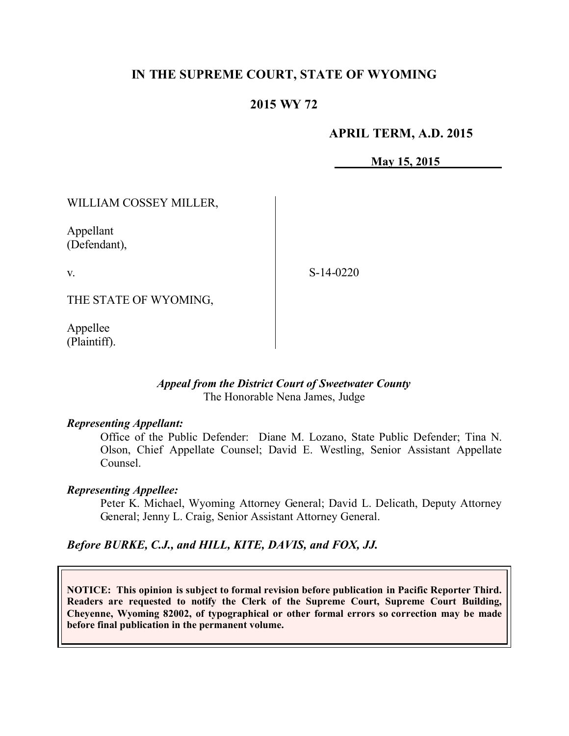# **IN THE SUPREME COURT, STATE OF WYOMING**

# **2015 WY 72**

## **APRIL TERM, A.D. 2015**

**May 15, 2015**

WILLIAM COSSEY MILLER,

Appellant (Defendant),

v.

S-14-0220

THE STATE OF WYOMING,

Appellee (Plaintiff).

### *Appeal from the District Court of Sweetwater County* The Honorable Nena James, Judge

### *Representing Appellant:*

Office of the Public Defender: Diane M. Lozano, State Public Defender; Tina N. Olson, Chief Appellate Counsel; David E. Westling, Senior Assistant Appellate Counsel.

### *Representing Appellee:*

Peter K. Michael, Wyoming Attorney General; David L. Delicath, Deputy Attorney General; Jenny L. Craig, Senior Assistant Attorney General.

### *Before BURKE, C.J., and HILL, KITE, DAVIS, and FOX, JJ.*

**NOTICE: This opinion is subject to formal revision before publication in Pacific Reporter Third. Readers are requested to notify the Clerk of the Supreme Court, Supreme Court Building, Cheyenne, Wyoming 82002, of typographical or other formal errors so correction may be made before final publication in the permanent volume.**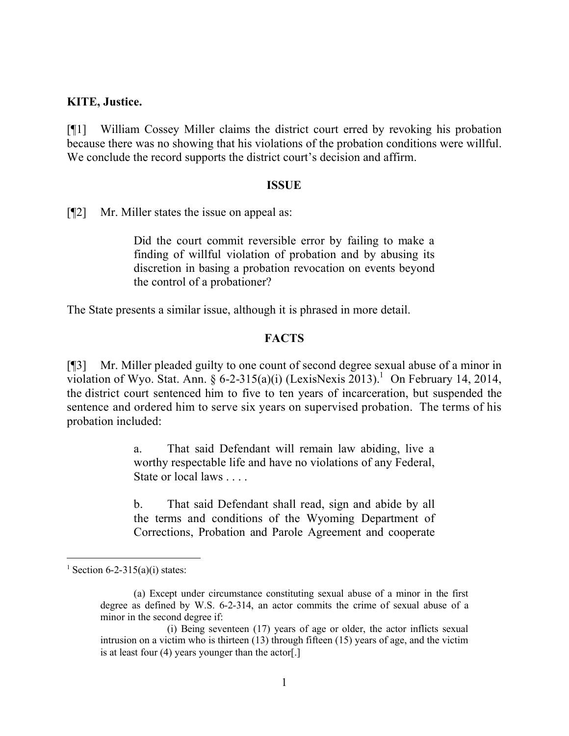#### **KITE, Justice.**

[¶1] William Cossey Miller claims the district court erred by revoking his probation because there was no showing that his violations of the probation conditions were willful. We conclude the record supports the district court's decision and affirm.

#### **ISSUE**

[¶2] Mr. Miller states the issue on appeal as:

Did the court commit reversible error by failing to make a finding of willful violation of probation and by abusing its discretion in basing a probation revocation on events beyond the control of a probationer?

The State presents a similar issue, although it is phrased in more detail.

### **FACTS**

[¶3] Mr. Miller pleaded guilty to one count of second degree sexual abuse of a minor in violation of Wyo. Stat. Ann.  $\S 6$ -2-315(a)(i) (LexisNexis 2013).<sup>1</sup> On February 14, 2014, the district court sentenced him to five to ten years of incarceration, but suspended the sentence and ordered him to serve six years on supervised probation. The terms of his probation included:

> a. That said Defendant will remain law abiding, live a worthy respectable life and have no violations of any Federal, State or local laws . . . .

> b. That said Defendant shall read, sign and abide by all the terms and conditions of the Wyoming Department of Corrections, Probation and Parole Agreement and cooperate

<sup>&</sup>lt;sup>1</sup> Section 6-2-315(a)(i) states:

<sup>(</sup>a) Except under circumstance constituting sexual abuse of a minor in the first degree as defined by W.S. 6-2-314, an actor commits the crime of sexual abuse of a minor in the second degree if:

<sup>(</sup>i) Being seventeen (17) years of age or older, the actor inflicts sexual intrusion on a victim who is thirteen (13) through fifteen (15) years of age, and the victim is at least four (4) years younger than the actor[.]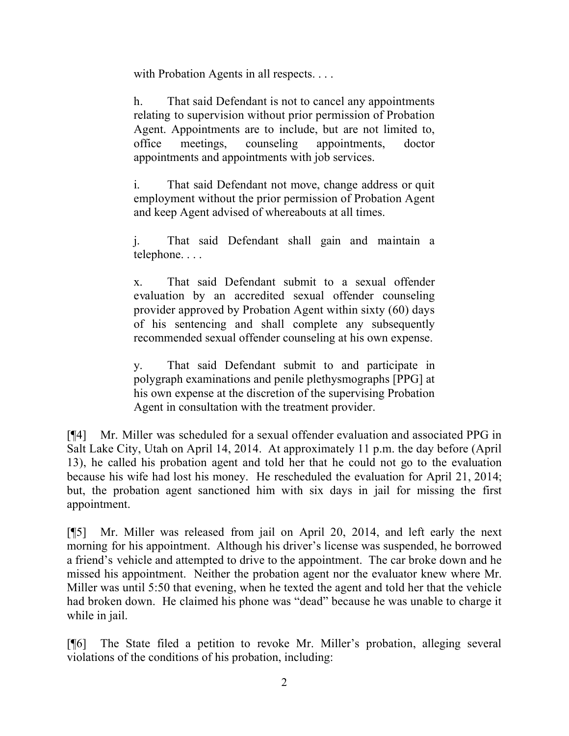with Probation Agents in all respects. . . .

h. That said Defendant is not to cancel any appointments relating to supervision without prior permission of Probation Agent. Appointments are to include, but are not limited to, office meetings, counseling appointments, doctor appointments and appointments with job services.

i. That said Defendant not move, change address or quit employment without the prior permission of Probation Agent and keep Agent advised of whereabouts at all times.

j. That said Defendant shall gain and maintain a telephone. . . .

x. That said Defendant submit to a sexual offender evaluation by an accredited sexual offender counseling provider approved by Probation Agent within sixty (60) days of his sentencing and shall complete any subsequently recommended sexual offender counseling at his own expense.

y. That said Defendant submit to and participate in polygraph examinations and penile plethysmographs [PPG] at his own expense at the discretion of the supervising Probation Agent in consultation with the treatment provider.

[¶4] Mr. Miller was scheduled for a sexual offender evaluation and associated PPG in Salt Lake City, Utah on April 14, 2014. At approximately 11 p.m. the day before (April 13), he called his probation agent and told her that he could not go to the evaluation because his wife had lost his money. He rescheduled the evaluation for April 21, 2014; but, the probation agent sanctioned him with six days in jail for missing the first appointment.

[¶5] Mr. Miller was released from jail on April 20, 2014, and left early the next morning for his appointment. Although his driver's license was suspended, he borrowed a friend's vehicle and attempted to drive to the appointment. The car broke down and he missed his appointment. Neither the probation agent nor the evaluator knew where Mr. Miller was until 5:50 that evening, when he texted the agent and told her that the vehicle had broken down. He claimed his phone was "dead" because he was unable to charge it while in jail.

[¶6] The State filed a petition to revoke Mr. Miller's probation, alleging several violations of the conditions of his probation, including: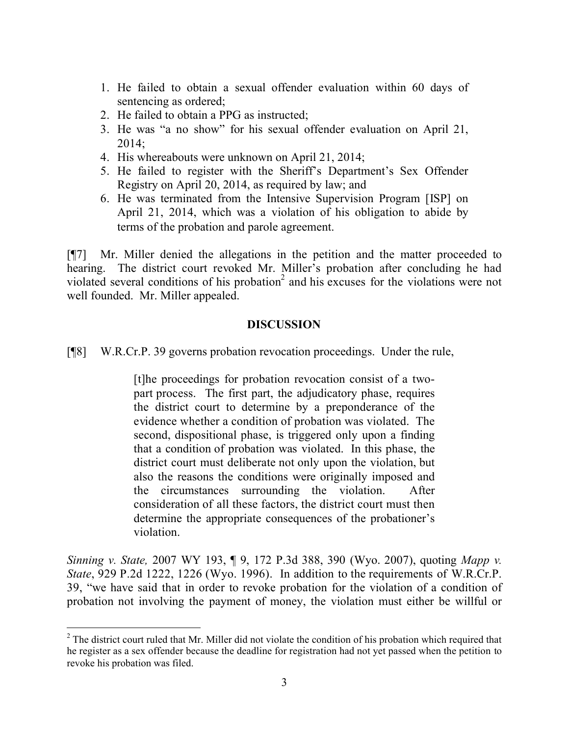- 1. He failed to obtain a sexual offender evaluation within 60 days of sentencing as ordered;
- 2. He failed to obtain a PPG as instructed;
- 3. He was "a no show" for his sexual offender evaluation on April 21, 2014;
- 4. His whereabouts were unknown on April 21, 2014;
- 5. He failed to register with the Sheriff's Department's Sex Offender Registry on April 20, 2014, as required by law; and
- 6. He was terminated from the Intensive Supervision Program [ISP] on April 21, 2014, which was a violation of his obligation to abide by terms of the probation and parole agreement.

[¶7] Mr. Miller denied the allegations in the petition and the matter proceeded to hearing. The district court revoked Mr. Miller's probation after concluding he had violated several conditions of his probation<sup>2</sup> and his excuses for the violations were not well founded. Mr. Miller appealed.

### **DISCUSSION**

[¶8] W.R.Cr.P. 39 governs probation revocation proceedings. Under the rule,

[t]he proceedings for probation revocation consist of a twopart process. The first part, the adjudicatory phase, requires the district court to determine by a preponderance of the evidence whether a condition of probation was violated. The second, dispositional phase, is triggered only upon a finding that a condition of probation was violated. In this phase, the district court must deliberate not only upon the violation, but also the reasons the conditions were originally imposed and the circumstances surrounding the violation. After consideration of all these factors, the district court must then determine the appropriate consequences of the probationer's violation.

*Sinning v. State,* 2007 WY 193, ¶ 9, 172 P.3d 388, 390 (Wyo. 2007), quoting *Mapp v. State*, 929 P.2d 1222, 1226 (Wyo. 1996). In addition to the requirements of W.R.Cr.P. 39, "we have said that in order to revoke probation for the violation of a condition of probation not involving the payment of money, the violation must either be willful or

<sup>&</sup>lt;sup>2</sup> The district court ruled that Mr. Miller did not violate the condition of his probation which required that he register as a sex offender because the deadline for registration had not yet passed when the petition to revoke his probation was filed.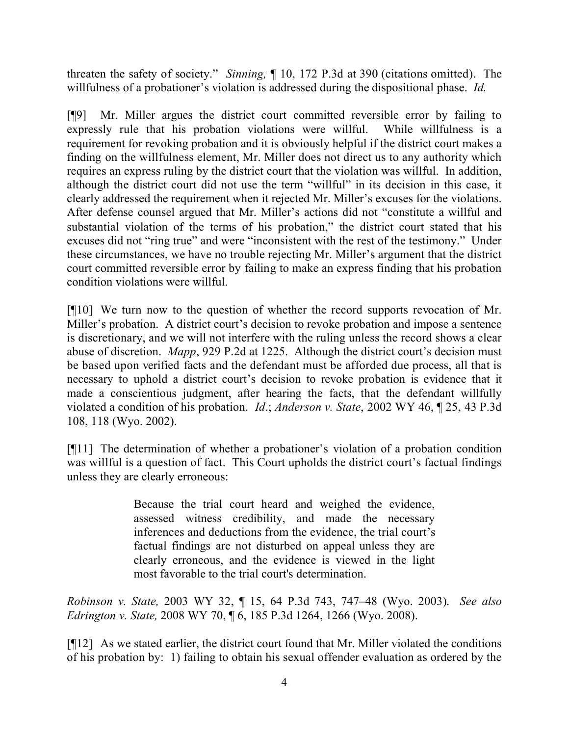threaten the safety of society." *Sinning,* ¶ 10, 172 P.3d at 390 (citations omitted). The willfulness of a probationer's violation is addressed during the dispositional phase. *Id.* 

[¶9] Mr. Miller argues the district court committed reversible error by failing to expressly rule that his probation violations were willful. While willfulness is a requirement for revoking probation and it is obviously helpful if the district court makes a finding on the willfulness element, Mr. Miller does not direct us to any authority which requires an express ruling by the district court that the violation was willful. In addition, although the district court did not use the term "willful" in its decision in this case, it clearly addressed the requirement when it rejected Mr. Miller's excuses for the violations. After defense counsel argued that Mr. Miller's actions did not "constitute a willful and substantial violation of the terms of his probation," the district court stated that his excuses did not "ring true" and were "inconsistent with the rest of the testimony." Under these circumstances, we have no trouble rejecting Mr. Miller's argument that the district court committed reversible error by failing to make an express finding that his probation condition violations were willful.

[¶10] We turn now to the question of whether the record supports revocation of Mr. Miller's probation. A district court's decision to revoke probation and impose a sentence is discretionary, and we will not interfere with the ruling unless the record shows a clear abuse of discretion. *Mapp*, 929 P.2d at 1225. Although the district court's decision must be based upon verified facts and the defendant must be afforded due process, all that is necessary to uphold a district court's decision to revoke probation is evidence that it made a conscientious judgment, after hearing the facts, that the defendant willfully violated a condition of his probation. *Id*.; *Anderson v. State*, 2002 WY 46, ¶ 25, 43 P.3d 108, 118 (Wyo. 2002).

[¶11] The determination of whether a probationer's violation of a probation condition was willful is a question of fact. This Court upholds the district court's factual findings unless they are clearly erroneous:

> Because the trial court heard and weighed the evidence, assessed witness credibility, and made the necessary inferences and deductions from the evidence, the trial court's factual findings are not disturbed on appeal unless they are clearly erroneous, and the evidence is viewed in the light most favorable to the trial court's determination.

*Robinson v. State,* 2003 WY 32, ¶ 15, 64 P.3d 743, 747–48 (Wyo. 2003). *See also Edrington v. State,* 2008 WY 70, ¶ 6, 185 P.3d 1264, 1266 (Wyo. 2008).

[¶12] As we stated earlier, the district court found that Mr. Miller violated the conditions of his probation by: 1) failing to obtain his sexual offender evaluation as ordered by the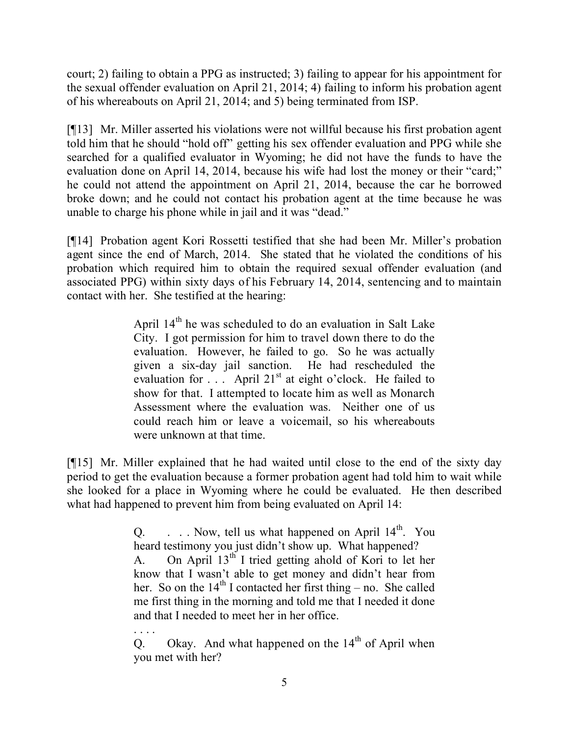court; 2) failing to obtain a PPG as instructed; 3) failing to appear for his appointment for the sexual offender evaluation on April 21, 2014; 4) failing to inform his probation agent of his whereabouts on April 21, 2014; and 5) being terminated from ISP.

[¶13] Mr. Miller asserted his violations were not willful because his first probation agent told him that he should "hold off" getting his sex offender evaluation and PPG while she searched for a qualified evaluator in Wyoming; he did not have the funds to have the evaluation done on April 14, 2014, because his wife had lost the money or their "card;" he could not attend the appointment on April 21, 2014, because the car he borrowed broke down; and he could not contact his probation agent at the time because he was unable to charge his phone while in jail and it was "dead."

[¶14] Probation agent Kori Rossetti testified that she had been Mr. Miller's probation agent since the end of March, 2014. She stated that he violated the conditions of his probation which required him to obtain the required sexual offender evaluation (and associated PPG) within sixty days of his February 14, 2014, sentencing and to maintain contact with her. She testified at the hearing:

> April  $14<sup>th</sup>$  he was scheduled to do an evaluation in Salt Lake City. I got permission for him to travel down there to do the evaluation. However, he failed to go. So he was actually given a six-day jail sanction. He had rescheduled the evaluation for  $\ldots$  April 21<sup>st</sup> at eight o'clock. He failed to show for that. I attempted to locate him as well as Monarch Assessment where the evaluation was. Neither one of us could reach him or leave a voicemail, so his whereabouts were unknown at that time.

[¶15] Mr. Miller explained that he had waited until close to the end of the sixty day period to get the evaluation because a former probation agent had told him to wait while she looked for a place in Wyoming where he could be evaluated. He then described what had happened to prevent him from being evaluated on April 14:

> Q.  $\ldots$  Now, tell us what happened on April 14<sup>th</sup>. You heard testimony you just didn't show up. What happened? A. On April  $13<sup>th</sup>$  I tried getting ahold of Kori to let her know that I wasn't able to get money and didn't hear from her. So on the  $14<sup>th</sup>$  I contacted her first thing – no. She called me first thing in the morning and told me that I needed it done and that I needed to meet her in her office.

Q. Okay. And what happened on the  $14<sup>th</sup>$  of April when you met with her?

. . . .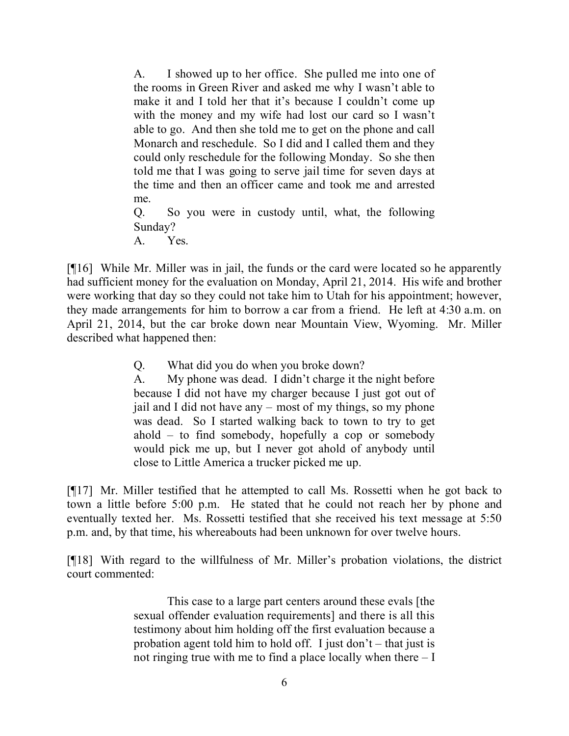A. I showed up to her office. She pulled me into one of the rooms in Green River and asked me why I wasn't able to make it and I told her that it's because I couldn't come up with the money and my wife had lost our card so I wasn't able to go. And then she told me to get on the phone and call Monarch and reschedule. So I did and I called them and they could only reschedule for the following Monday. So she then told me that I was going to serve jail time for seven days at the time and then an officer came and took me and arrested me. Q. So you were in custody until, what, the following Sunday?

[¶16] While Mr. Miller was in jail, the funds or the card were located so he apparently had sufficient money for the evaluation on Monday, April 21, 2014. His wife and brother were working that day so they could not take him to Utah for his appointment; however, they made arrangements for him to borrow a car from a friend. He left at 4:30 a.m. on April 21, 2014, but the car broke down near Mountain View, Wyoming. Mr. Miller described what happened then:

Q. What did you do when you broke down?

A. Yes.

A. My phone was dead. I didn't charge it the night before because I did not have my charger because I just got out of jail and I did not have any – most of my things, so my phone was dead. So I started walking back to town to try to get ahold – to find somebody, hopefully a cop or somebody would pick me up, but I never got ahold of anybody until close to Little America a trucker picked me up.

[¶17] Mr. Miller testified that he attempted to call Ms. Rossetti when he got back to town a little before 5:00 p.m. He stated that he could not reach her by phone and eventually texted her. Ms. Rossetti testified that she received his text message at 5:50 p.m. and, by that time, his whereabouts had been unknown for over twelve hours.

[¶18] With regard to the willfulness of Mr. Miller's probation violations, the district court commented:

> This case to a large part centers around these evals [the sexual offender evaluation requirements] and there is all this testimony about him holding off the first evaluation because a probation agent told him to hold off. I just don't – that just is not ringing true with me to find a place locally when there – I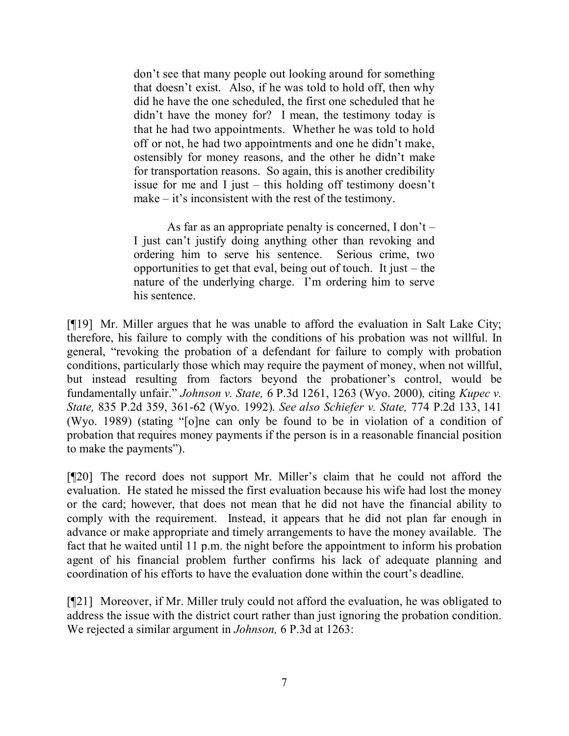don't see that many people out looking around for something that doesn't exist. Also, if he was told to hold off, then why did he have the one scheduled, the first one scheduled that he didn't have the money for? I mean, the testimony today is that he had two appointments. Whether he was told to hold off or not, he had two appointments and one he didn't make, ostensibly for money reasons, and the other he didn't make for transportation reasons. So again, this is another credibility issue for me and I just – this holding off testimony doesn't make – it's inconsistent with the rest of the testimony.

As far as an appropriate penalty is concerned, I don't – I just can't justify doing anything other than revoking and ordering him to serve his sentence. Serious crime, two opportunities to get that eval, being out of touch. It just – the nature of the underlying charge. I'm ordering him to serve his sentence.

[¶19] Mr. Miller argues that he was unable to afford the evaluation in Salt Lake City; therefore, his failure to comply with the conditions of his probation was not willful. In general, "revoking the probation of a defendant for failure to comply with probation conditions, particularly those which may require the payment of money, when not willful, but instead resulting from factors beyond the probationer's control, would be fundamentally unfair." *Johnson v. State,* 6 P.3d 1261, 1263 (Wyo. 2000)*,* citing *Kupec v. State,* 835 P.2d 359, 361-62 (Wyo. 1992). *See also Schiefer v. State,* 774 P.2d 133, 141 (Wyo. 1989) (stating "[o]ne can only be found to be in violation of a condition of probation that requires money payments if the person is in a reasonable financial position to make the payments").

[¶20] The record does not support Mr. Miller's claim that he could not afford the evaluation. He stated he missed the first evaluation because his wife had lost the money or the card; however, that does not mean that he did not have the financial ability to comply with the requirement. Instead, it appears that he did not plan far enough in advance or make appropriate and timely arrangements to have the money available. The fact that he waited until 11 p.m. the night before the appointment to inform his probation agent of his financial problem further confirms his lack of adequate planning and coordination of his efforts to have the evaluation done within the court's deadline.

[¶21] Moreover, if Mr. Miller truly could not afford the evaluation, he was obligated to address the issue with the district court rather than just ignoring the probation condition. We rejected a similar argument in *Johnson,* 6 P.3d at 1263: